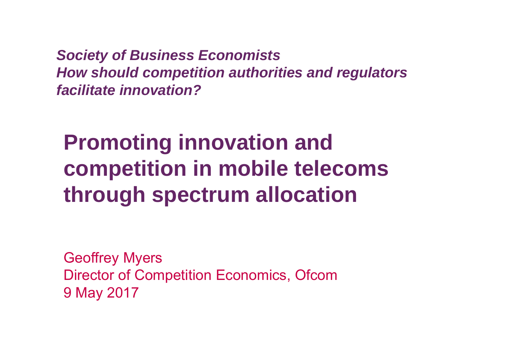*Society of Business Economists How should competition authorities and regulators facilitate innovation?*

**Promoting innovation and competition in mobile telecoms through spectrum allocation**

Geoffrey Myers Director of Competition Economics, Ofcom 9 May 2017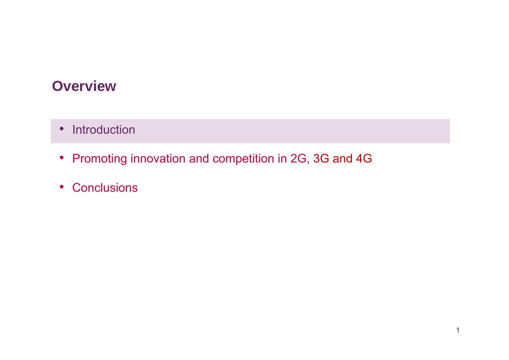### **Overview**

- Introduction
- Promoting innovation and competition in 2G, 3G and 4G
- Conclusions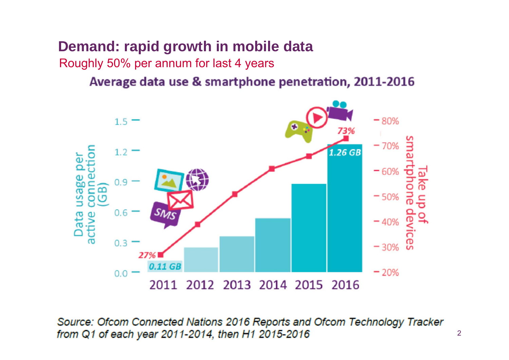# **Demand: rapid growth in mobile data**

Roughly 50% per annum for last 4 years

#### Average data use & smartphone penetration, 2011-2016



Source: Ofcom Connected Nations 2016 Reports and Ofcom Technology Tracker from Q1 of each year 2011-2014, then H1 2015-2016

2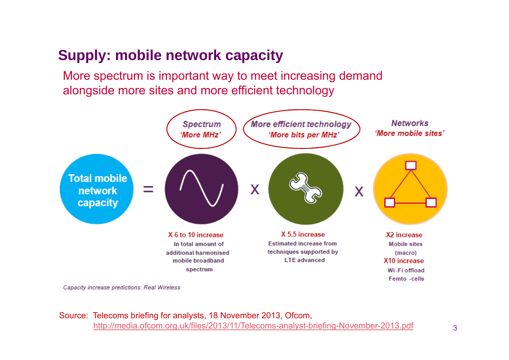### **Supply: mobile network capacity**

More spectrum is important way to meet increasing demand alongside more sites and more efficient technology



Capacity increase predictions: Real Wireless

Source: Telecoms briefing for analysts, 18 November 2013, Ofcom, http://media.ofcom.org.uk/files/2013/11/Telecoms-analyst-briefing-November-2013.pdf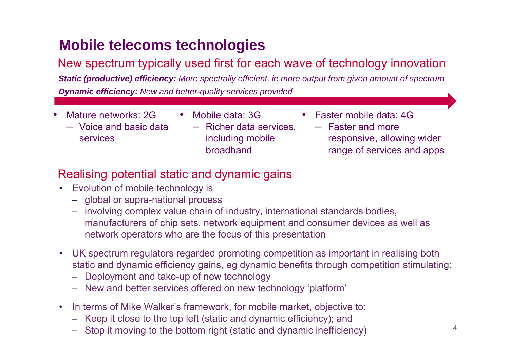### **Mobile telecoms technologies**

#### New spectrum typically used first for each wave of technology innovation

*Static (productive) efficiency: More spectrally efficient, ie more output from given amount of spectrum Dynamic efficiency: New and better-quality services provided*

- • Mature networks: 2G
	- Voice and basic data services
- Mobile data: 3G– Richer data services, including mobile

broadband

- • Faster mobile data: 4G
	- Faster and more responsive, allowing wider range of services and apps

#### Realising potential static and dynamic gains

- Evolution of mobile technology is
	- global or supra-national process
	- involving complex value chain of industry, international standards bodies, manufacturers of chip sets, network equipment and consumer devices as well as network operators who are the focus of this presentation
- UK spectrum regulators regarded promoting competition as important in realising both static and dynamic efficiency gains, eg dynamic benefits through competition stimulating:
	- Deployment and take-up of new technology
	- New and better services offered on new technology 'platform'
- • In terms of Mike Walker's framework, for mobile market, objective to:
	- Keep it close to the top left (static and dynamic efficiency); and
	- Stop it moving to the bottom right (static and dynamic inefficiency)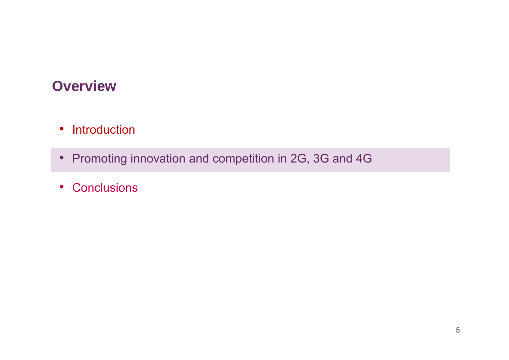### **Overview**

- •• Introduction
- Promoting innovation and competition in 2G, 3G and 4G
- Conclusions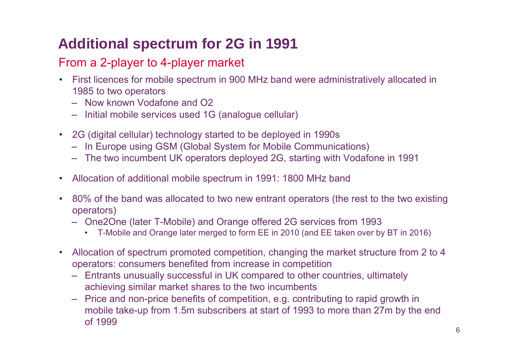## **Additional spectrum for 2G in 1991**

#### From a 2-player to 4-player market

- First licences for mobile spectrum in 900 MHz band were administratively allocated in 1985 to two operators
	- Now known Vodafone and O2
	- Initial mobile services used 1G (analogue cellular)
- 2G (digital cellular) technology started to be deployed in 1990s
	- In Europe using GSM (Global System for Mobile Communications)
	- The two incumbent UK operators deployed 2G, starting with Vodafone in 1991
- •Allocation of additional mobile spectrum in 1991: 1800 MHz band
- 80% of the band was allocated to two new entrant operators (the rest to the two existing operators)
	- One2One (later T-Mobile) and Orange offered 2G services from 1993
		- T-Mobile and Orange later merged to form EE in 2010 (and EE taken over by BT in 2016)
- Allocation of spectrum promoted competition, changing the market structure from 2 to 4 operators: consumers benefited from increase in competition
	- Entrants unusually successful in UK compared to other countries, ultimately achieving similar market shares to the two incumbents
	- Price and non-price benefits of competition, e.g. contributing to rapid growth in mobile take-up from 1.5m subscribers at start of 1993 to more than 27m by the end of 1999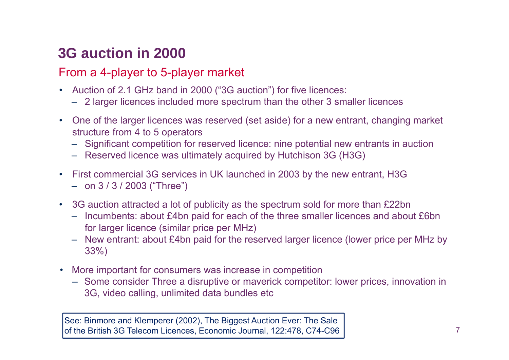### **3G auction in 2000**

#### From a 4-player to 5-player market

- Auction of 2.1 GHz band in 2000 ("3G auction") for five licences:
	- 2 larger licences included more spectrum than the other 3 smaller licences
- One of the larger licences was reserved (set aside) for a new entrant, changing market structure from 4 to 5 operators
	- Significant competition for reserved licence: nine potential new entrants in auction
	- Reserved licence was ultimately acquired by Hutchison 3G (H3G)
- • First commercial 3G services in UK launched in 2003 by the new entrant, H3G – on 3 / 3 / 2003 ("Three")
- •3G auction attracted a lot of publicity as the spectrum sold for more than £22bn
	- Incumbents: about £4bn paid for each of the three smaller licences and about £6bn for larger licence (similar price per MHz)
	- New entrant: about £4bn paid for the reserved larger licence (lower price per MHz by 33%)
- More important for consumers was increase in competition
	- Some consider Three a disruptive or maverick competitor: lower prices, innovation in 3G, video calling, unlimited data bundles etc

See: Binmore and Klemperer (2002), The Biggest Auction Ever: The Sale of the British 3G Telecom Licences, Economic Journal, 122:478, C74-C96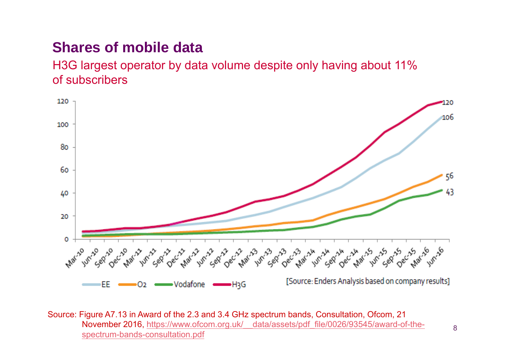### **Shares of mobile data**

H3G largest operator by data volume despite only having about 11% of subscribers



Source: Figure A7.13 in Award of the 2.3 and 3.4 GHz spectrum bands, Consultation, Ofcom, 21 November 2016, <u>https://www.ofcom.org.uk/\_\_data/assets/pdf\_file/0026/93545/award-of-the-</u>\_\_\_\_\_\_\_<sub>8</sub><br>spectrum-bands-consultation.pdf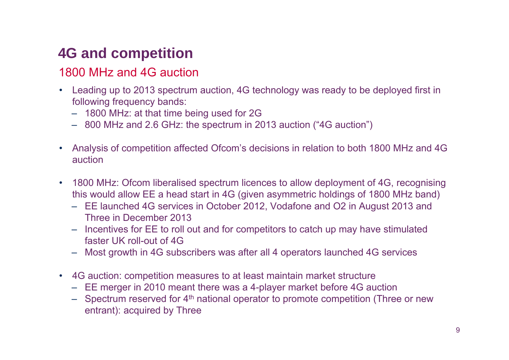## **4G and competition**

#### 1800 MHz and 4G auction

- Leading up to 2013 spectrum auction, 4G technology was ready to be deployed first in following frequency bands:
	- 1800 MHz: at that time being used for 2G
	- 800 MHz and 2.6 GHz: the spectrum in 2013 auction ("4G auction")
- Analysis of competition affected Ofcom's decisions in relation to both 1800 MHz and 4G auction
- 1800 MHz: Ofcom liberalised spectrum licences to allow deployment of 4G, recognising this would allow EE a head start in 4G (given asymmetric holdings of 1800 MHz band)
	- EE launched 4G services in October 2012, Vodafone and O2 in August 2013 and Three in December 2013
	- Incentives for EE to roll out and for competitors to catch up may have stimulated faster UK roll-out of 4G
	- Most growth in 4G subscribers was after all 4 operators launched 4G services
- 4G auction: competition measures to at least maintain market structure
	- EE merger in 2010 meant there was a 4-player market before 4G auction
	- $-$  Spectrum reserved for 4<sup>th</sup> national operator to promote competition (Three or new entrant): acquired by Three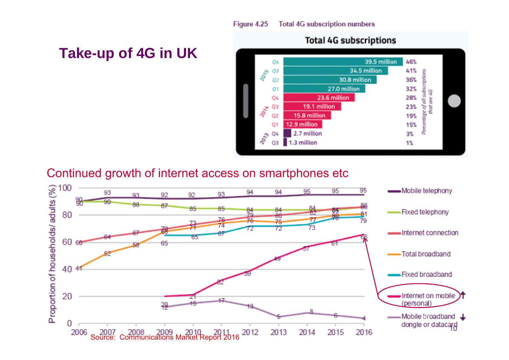### **Take-up of 4G in UK**



#### Continued growth of internet access on smartphones etc

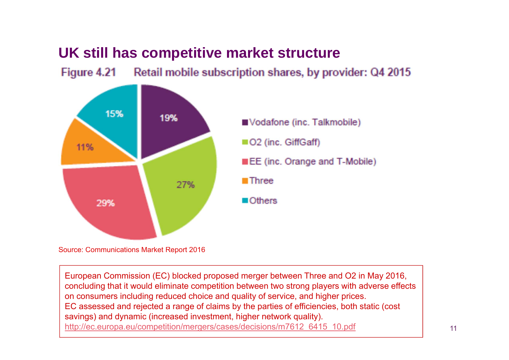#### **UK still has competitive market structure**

Figure 4.21 Retail mobile subscription shares, by provider: Q4 2015



Source: Communications Market Report 2016

European Commission (EC) blocked proposed merger between Three and O2 in May 2016, concluding that it would eliminate competition between two strong players with adverse effects on consumers including reduced choice and quality of service, and higher prices. EC assessed and rejected a range of claims by the parties of efficiencies, both static (cost savings) and dynamic (increased investment, higher network quality). http://ec.europa.eu/competition/mergers/cases/decisions/m7612\_6415\_10.pdf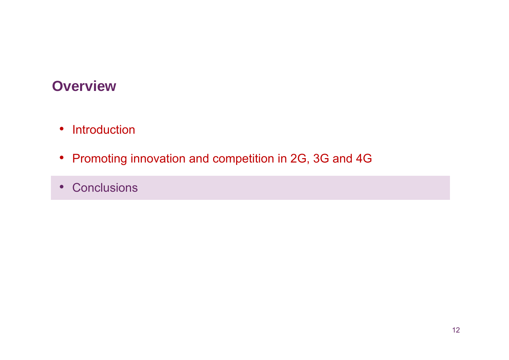### **Overview**

- Introduction
- Promoting innovation and competition in 2G, 3G and 4G
- Conclusions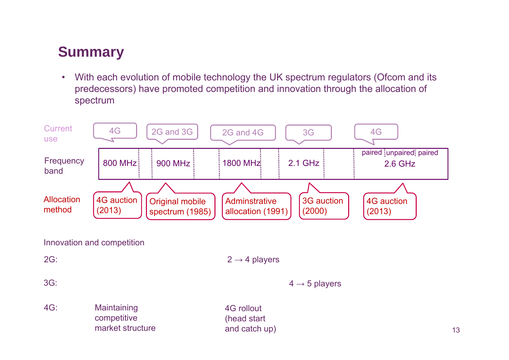### **Summary**

 $\bullet$ With each evolution of mobile technology the UK spectrum regulators (Ofcom and its predecessors) have promoted competition and innovation through the allocation of spectrum